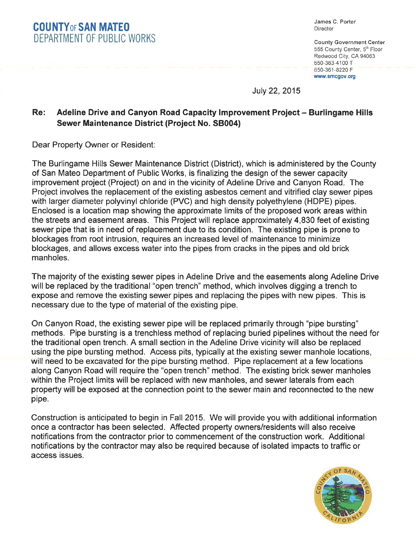C0UNTYoF SAN MATE0 DEPARTMENT OF PUBLIC WORKS James C. Porter Director

County Government Center 555 County Center, 5th Floor Redwood City, CA 94063 650-363-4100 T 650-361 -8220 F www.smcgov.org

July 22,2015

# Re: Adeline Drive and Canyon Road Capacity Improvement Project - Burlingame Hills Sewer Maintenance District (Project No. SB004)

Dear Property Owner or Resident:

The Burlingame Hills Sewer Maintenance District (District), which is administered by the County of San Mateo Department of Public Works, is finalizing the design of the sewer capacity improvement project (Project) on and in the vicinity of Adeline Drive and Canyon Road. The Project involves the replacement of the existing asbestos cement and vitrified clay sewer pipes with larger diameter polyvinyl chloride (PVC) and high density polyethylene (HDPE) pipes. Enclosed is a location map showing the approximate limits of the proposed work areas within the streets and easement areas. This Project will replace approximately 4,830 feet of existing sewer pipe that is in need of replacement due to its condition. The existing pipe is prone to blockages from root intrusion, requires an increased level of maintenance to minimize blockages, and allows excess water into the pipes from cracks in the pipes and old brick manholes.

The majority of the existing sewer pipes in Adeline Drive and the easements along Adeline Drive will be replaced by the traditional "open trench" method, which involves digging a trench to expose and remove the existing sewer pipes and replacing the pipes with new pipes. This is necessary due to the type of material of the existing pipe.

On Canyon Road, the existing sewer pipe will be replaced primarily through "pipe bursting" methods. Pipe bursting is a trenchless method of replacing buried pipelines without the need for the traditional open trench. A small section in the Adeline Drive vicinity will also be replaced using the pipe bursting method. Access pits, typically at the existing sewer manhole locations, will need to be excavated for the pipe bursting method. Pipe replacement at a few locations along Canyon Road will require the "open trench" method. The existing brick sewer manholes within the Project limits will be replaced with new manholes, and sewer laterals from each property will be exposed at the connection point to the sewer main and reconnected to the new pipe.

Construction is anticipated to begin in Fall 2015. We will provide you with additional information once a contractor has been selected. Affected property owners/residents will also receive notifications from the contractor prior to commencement of the construction work. Additional notifications by the contractor may also be required because of isolated impacts to traffic or access issues.

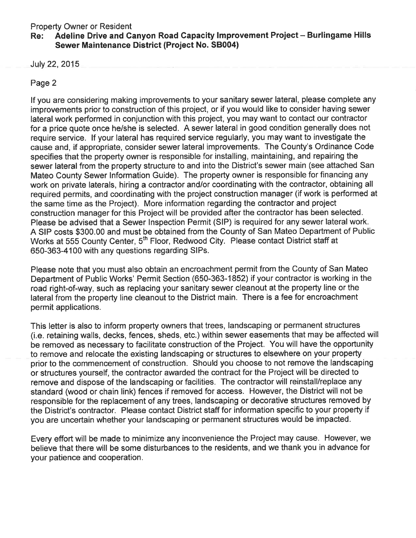## Re: Adeline Drive and Canyon Road Capacity Improvement Project - Burlingame Hills Sewer Maintenance District (Project No. 38004)

July 22,2015

# Page 2

lf you are considering making improvements to your sanitary sewer lateral, please complete any improvements prior to construction of this project, or if you would like to consider having sewer lateral work performed in conjunction with this project, you may want to contact our contractor for a price quote once he/she is selected. A sewer lateral in good condition generally does not require service. lf your lateral has required service regularly, you may want to investigate the cause and, if appropriate, consider sewer lateral improvements. The County's Ordinance Code specifies that the property owner is responsible for installing, maintaining, and repairing the sewer lateral from the property structure to and into the District's sewer main (see attached San Mateo County Sewer lnformation Guide). The property owner is responsible for financing any work on private laterals, hiring a contractor and/or coordinating with the contractor, obtaining all required permits, and coordinating with the project construction manager (if work is performed at the same time as the Project). More information regarding the contractor and project construction manager for this Project will be provided after the contractor has been selected. Please be advised that a Sewer lnspection Permit (SlP) is required for any sewer lateral work. A SIP costs \$300.00 and must be obtained from the County of San Mateo Department of Public Works at 555 County Center, 5<sup>th</sup> Floor, Redwood City. Please contact District staff at 650-363-4100 with any questions regarding SlPs.

Please note that you must also obtain an encroachment permit from the County of San Mateo Department of Public Works' Permit Section (650-363-1852) if your contractor is working in the road right-of-way, such as replacing your sanitary sewer cleanout at the property line or the lateral from the property line cleanout to the District main. There is a fee for encroachment permit applications.

This letter is also to inform property owners that trees, landscaping or permanent structures (i.e. retaining walls, decks, fences, sheds, etc.) within sewer easements that may be affected will be removed as necessary to facilitate construction of the Project. You will have the opportunity to remove and relocate the existing landscaping or structures to elsewhere on your property prior to the commencement of construction. Should you choose to not remove the landscaping or structures yourself, the contractor awarded the contract for the Project will be directed to remove and dispose of the landscaping or facilities. The contractor will reinstall/replace any standard (wood or chain link) fences if removed for access. However, the District will not be responsible for the replacement of any trees, landscaping or decorative structures removed by the District's contractor. Please contact District staff for information specific to your property if you are uncertain whether your landscaping or permanent structures would be impacted.

Every effort will be made to minimize any inconvenience the Project may cause. However, we believe that there will be some disturbances to the residents, and we thank you in advance for your patience and cooperation.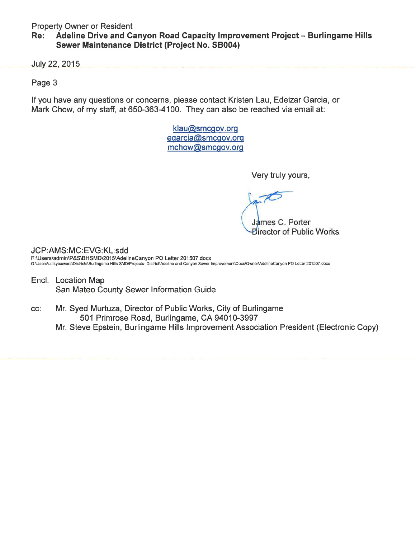Property Owner or Resident

## Re: Adeline Drive and Canyon Road Capacity Improvement Project - Burlingame Hills Sewer Maintenance District (Project No. 58004)

July 22,2015

Page 3

lf you have any questions or concerns, please contact Kristen Lau, Edelzar Garcia, or Mark Chow, of my staff, at 650-363-4100. They can also be reached via email at:

> klau@smcqov.orq egarcia@smcgov.org mchow@smcqov.orq

> > Very truly yours,

James C. Porter **Pirector of Public Works** 

JCP:AMS:MC:EVG:KL:sdd

F:\Users\admin\P&S\BHSMD\2015\AdelineCanyon PO Letter 201507.docx G:\Users\utility\sewers\Districts\Burlingame Hills SMD\Projects- District\Adeline and Canyon Sewer Improvement\Docs\Owner\AdelineCanyon PO Letter 201507 docx

- Encl. Location Map San Mateo County Sewer Information Guide
- cc: Mr. Syed Murtuza, Director of Public Works, City of Burlingame 501 Primrose Road, Burlingame, CA 94010-3997 Mr. Steve Epstein, Burlingame Hills lmprovement Association President (Electronic Copy)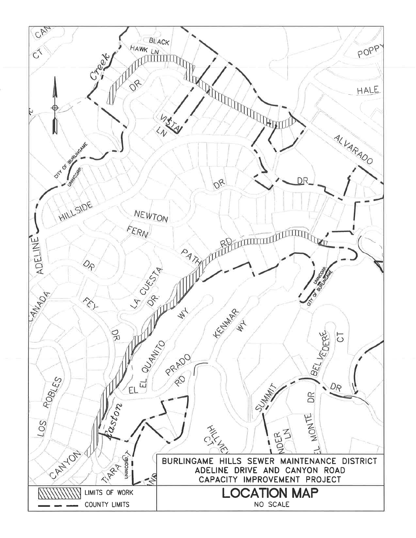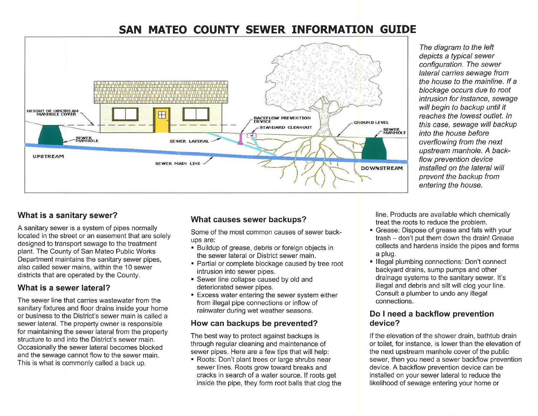# SAN MATEO COUNTY SEWER INFORMATION GUIDE



## What is a sanitary sewer?

A sanitary sewer is a system of pipes normally located in the street or an easement that are solely designed to transport sewage to the treatment plant. The County of San Mateo Public Works Department maintains the sanitary sewer pipes, also called sewer mains, within the 10 sewer districts that are operated by the County.

## What is a sewer lateral?

The sewer line that carries wastewater from the sanitary fixtures and floor drains inside your home or business to the District's sewer main is called a sewer lateral. The property owner is responsible for maintaining the sewer lateral from the property structure to and into the District's sewer main. Occasionally the sewer lateral becomes blocked and the sewage cannot flow to the sewer main. This is what is commonly called a back up.

## What causes sewer backups?

Some of the most common causes of sewer backups are:

- . Buildup of grease, debris or foreign objects in the sewer lateral or District sewer main.
- . Partial or complete blockage caused by tree root intrusion into sewer pipes.
- . Sewer line collapse caused by old and deteriorated sewer pipes.
- . Excess water entering the sewer system either from illegal pipe connections or inflow of rainwater during wet weather seasons.

#### How can backups be prevented?

The best way to protect against backups is through regular cleaning and maintenance of sewer pipes. Here are a few tips that will help:

. Roots: Don't plant trees or large shrubs near sewer lines. Roots grow toward breaks and cracks in search of a water source. lf roots get inside the pipe, they form root balls that clog the

The diagram to the left depicts a typical sewer configuration. The sewer lateral carries sewage from the house to the mainline. lf a blockage occurs due to root intrusion for instance, sewage will begin to backup until it reaches the lowest outlet. ln this case, sewage will backup into the house before overflowing from the next upstream manhole. A backflow prevention device installed on the lateral will prevent the backup from entering the house.

line. Products are available which chemically treat the roots to reduce the problem.

- . Grease: Dispose of grease and fats with your trash - don't put them down the drain! Grease collects and hardens inside the pipes and forms a plug.
- . lllegal plumbing connections: Don't connect backyard drains, sump pumps and other drainage systems to the sanitary sewer. lt's illegal and debris and silt will clog your line. Consult a plumber to undo any illegal connections.

#### Do I need a backflow prevention device?

lf the elevation of the shower drain, bathtub drain or toilet, for instance, is lower than the elevation of the next upstream manhole cover of the public sewer, then you need a sewer backflow prevention device. A backflow prevention device can be installed on your sewer lateral to reduce the likelihood of sewage entering your home or